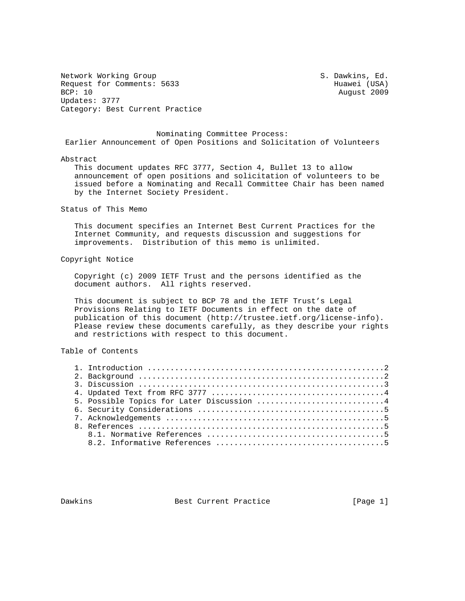Network Working Group S. Dawkins, Ed. Request for Comments: 5633 Huawei (USA)<br>BCP: 10 August 2009 Updates: 3777 Category: Best Current Practice

August 2009

 Nominating Committee Process: Earlier Announcement of Open Positions and Solicitation of Volunteers

## Abstract

 This document updates RFC 3777, Section 4, Bullet 13 to allow announcement of open positions and solicitation of volunteers to be issued before a Nominating and Recall Committee Chair has been named by the Internet Society President.

## Status of This Memo

 This document specifies an Internet Best Current Practices for the Internet Community, and requests discussion and suggestions for improvements. Distribution of this memo is unlimited.

## Copyright Notice

 Copyright (c) 2009 IETF Trust and the persons identified as the document authors. All rights reserved.

 This document is subject to BCP 78 and the IETF Trust's Legal Provisions Relating to IETF Documents in effect on the date of publication of this document (http://trustee.ietf.org/license-info). Please review these documents carefully, as they describe your rights and restrictions with respect to this document.

Table of Contents

| 3. Discussion $\ldots \ldots \ldots \ldots \ldots \ldots \ldots \ldots \ldots \ldots \ldots \ldots$ |
|-----------------------------------------------------------------------------------------------------|
|                                                                                                     |
| 5. Possible Topics for Later Discussion 4                                                           |
|                                                                                                     |
|                                                                                                     |
|                                                                                                     |
|                                                                                                     |
|                                                                                                     |

Dawkins Best Current Practice [Page 1]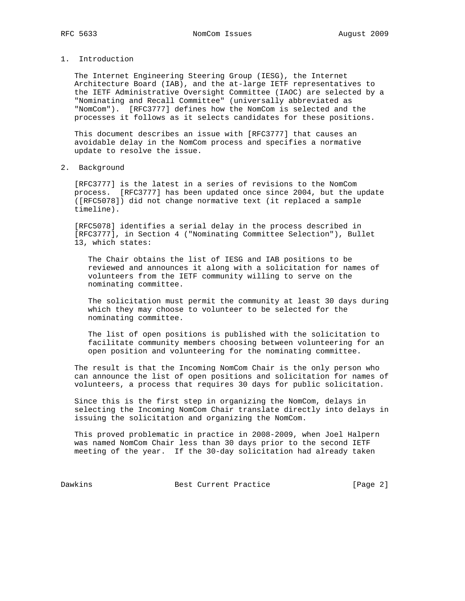- 
- 1. Introduction

 The Internet Engineering Steering Group (IESG), the Internet Architecture Board (IAB), and the at-large IETF representatives to the IETF Administrative Oversight Committee (IAOC) are selected by a "Nominating and Recall Committee" (universally abbreviated as "NomCom"). [RFC3777] defines how the NomCom is selected and the processes it follows as it selects candidates for these positions.

 This document describes an issue with [RFC3777] that causes an avoidable delay in the NomCom process and specifies a normative update to resolve the issue.

2. Background

 [RFC3777] is the latest in a series of revisions to the NomCom process. [RFC3777] has been updated once since 2004, but the update ([RFC5078]) did not change normative text (it replaced a sample timeline).

 [RFC5078] identifies a serial delay in the process described in [RFC3777], in Section 4 ("Nominating Committee Selection"), Bullet 13, which states:

 The Chair obtains the list of IESG and IAB positions to be reviewed and announces it along with a solicitation for names of volunteers from the IETF community willing to serve on the nominating committee.

 The solicitation must permit the community at least 30 days during which they may choose to volunteer to be selected for the nominating committee.

 The list of open positions is published with the solicitation to facilitate community members choosing between volunteering for an open position and volunteering for the nominating committee.

 The result is that the Incoming NomCom Chair is the only person who can announce the list of open positions and solicitation for names of volunteers, a process that requires 30 days for public solicitation.

 Since this is the first step in organizing the NomCom, delays in selecting the Incoming NomCom Chair translate directly into delays in issuing the solicitation and organizing the NomCom.

 This proved problematic in practice in 2008-2009, when Joel Halpern was named NomCom Chair less than 30 days prior to the second IETF meeting of the year. If the 30-day solicitation had already taken

Dawkins **Best Current Practice** [Page 2]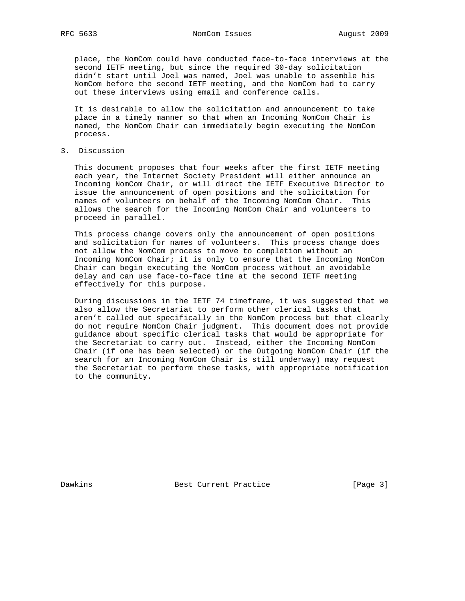place, the NomCom could have conducted face-to-face interviews at the second IETF meeting, but since the required 30-day solicitation didn't start until Joel was named, Joel was unable to assemble his NomCom before the second IETF meeting, and the NomCom had to carry out these interviews using email and conference calls.

 It is desirable to allow the solicitation and announcement to take place in a timely manner so that when an Incoming NomCom Chair is named, the NomCom Chair can immediately begin executing the NomCom process.

3. Discussion

 This document proposes that four weeks after the first IETF meeting each year, the Internet Society President will either announce an Incoming NomCom Chair, or will direct the IETF Executive Director to issue the announcement of open positions and the solicitation for names of volunteers on behalf of the Incoming NomCom Chair. This allows the search for the Incoming NomCom Chair and volunteers to proceed in parallel.

 This process change covers only the announcement of open positions and solicitation for names of volunteers. This process change does not allow the NomCom process to move to completion without an Incoming NomCom Chair; it is only to ensure that the Incoming NomCom Chair can begin executing the NomCom process without an avoidable delay and can use face-to-face time at the second IETF meeting effectively for this purpose.

 During discussions in the IETF 74 timeframe, it was suggested that we also allow the Secretariat to perform other clerical tasks that aren't called out specifically in the NomCom process but that clearly do not require NomCom Chair judgment. This document does not provide guidance about specific clerical tasks that would be appropriate for the Secretariat to carry out. Instead, either the Incoming NomCom Chair (if one has been selected) or the Outgoing NomCom Chair (if the search for an Incoming NomCom Chair is still underway) may request the Secretariat to perform these tasks, with appropriate notification to the community.

Dawkins **Best Current Practice** [Page 3]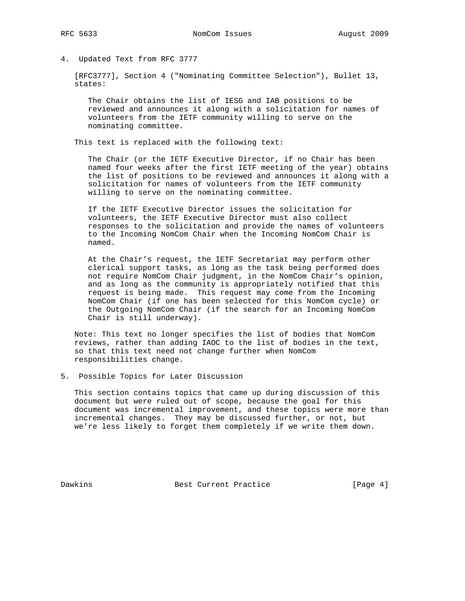## 4. Updated Text from RFC 3777

 [RFC3777], Section 4 ("Nominating Committee Selection"), Bullet 13, states:

 The Chair obtains the list of IESG and IAB positions to be reviewed and announces it along with a solicitation for names of volunteers from the IETF community willing to serve on the nominating committee.

This text is replaced with the following text:

 The Chair (or the IETF Executive Director, if no Chair has been named four weeks after the first IETF meeting of the year) obtains the list of positions to be reviewed and announces it along with a solicitation for names of volunteers from the IETF community willing to serve on the nominating committee.

 If the IETF Executive Director issues the solicitation for volunteers, the IETF Executive Director must also collect responses to the solicitation and provide the names of volunteers to the Incoming NomCom Chair when the Incoming NomCom Chair is named.

 At the Chair's request, the IETF Secretariat may perform other clerical support tasks, as long as the task being performed does not require NomCom Chair judgment, in the NomCom Chair's opinion, and as long as the community is appropriately notified that this request is being made. This request may come from the Incoming NomCom Chair (if one has been selected for this NomCom cycle) or the Outgoing NomCom Chair (if the search for an Incoming NomCom Chair is still underway).

 Note: This text no longer specifies the list of bodies that NomCom reviews, rather than adding IAOC to the list of bodies in the text, so that this text need not change further when NomCom responsibilities change.

5. Possible Topics for Later Discussion

 This section contains topics that came up during discussion of this document but were ruled out of scope, because the goal for this document was incremental improvement, and these topics were more than incremental changes. They may be discussed further, or not, but we're less likely to forget them completely if we write them down.

Dawkins Best Current Practice [Page 4]